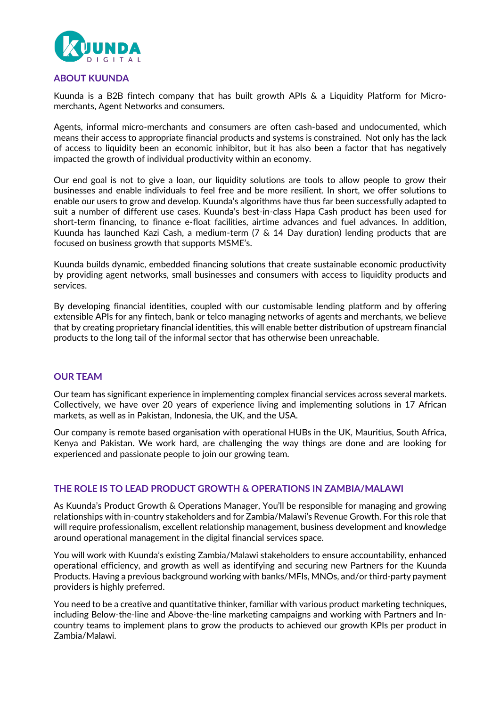

## **ABOUT KUUNDA**

Kuunda is a B2B fintech company that has built growth APIs & a Liquidity Platform for Micromerchants, Agent Networks and consumers.

Agents, informal micro-merchants and consumers are often cash-based and undocumented, which means their access to appropriate financial products and systems is constrained. Not only has the lack of access to liquidity been an economic inhibitor, but it has also been a factor that has negatively impacted the growth of individual productivity within an economy.

Our end goal is not to give a loan, our liquidity solutions are tools to allow people to grow their businesses and enable individuals to feel free and be more resilient. In short, we offer solutions to enable our users to grow and develop. Kuunda's algorithms have thus far been successfully adapted to suit a number of different use cases. Kuunda's best-in-class Hapa Cash product has been used for short-term financing, to finance e-float facilities, airtime advances and fuel advances. In addition, Kuunda has launched Kazi Cash, a medium-term (7 & 14 Day duration) lending products that are focused on business growth that supports MSME's.

Kuunda builds dynamic, embedded financing solutions that create sustainable economic productivity by providing agent networks, small businesses and consumers with access to liquidity products and services.

By developing financial identities, coupled with our customisable lending platform and by offering extensible APIs for any fintech, bank or telco managing networks of agents and merchants, we believe that by creating proprietary financial identities, this will enable better distribution of upstream financial products to the long tail of the informal sector that has otherwise been unreachable.

## **OUR TEAM**

Our team has significant experience in implementing complex financial services across several markets. Collectively, we have over 20 years of experience living and implementing solutions in 17 African markets, as well as in Pakistan, Indonesia, the UK, and the USA.

Our company is remote based organisation with operational HUBs in the UK, Mauritius, South Africa, Kenya and Pakistan. We work hard, are challenging the way things are done and are looking for experienced and passionate people to join our growing team.

## **THE ROLE IS TO LEAD PRODUCT GROWTH & OPERATIONS IN ZAMBIA/MALAWI**

As Kuunda's Product Growth & Operations Manager, You'll be responsible for managing and growing relationships with in-country stakeholders and for Zambia/Malawi's Revenue Growth. For this role that will require professionalism, excellent relationship management, business development and knowledge around operational management in the digital financial services space.

You will work with Kuunda's existing Zambia/Malawi stakeholders to ensure accountability, enhanced operational efficiency, and growth as well as identifying and securing new Partners for the Kuunda Products. Having a previous background working with banks/MFIs, MNOs, and/or third-party payment providers is highly preferred.

You need to be a creative and quantitative thinker, familiar with various product marketing techniques, including Below-the-line and Above-the-line marketing campaigns and working with Partners and Incountry teams to implement plans to grow the products to achieved our growth KPIs per product in Zambia/Malawi.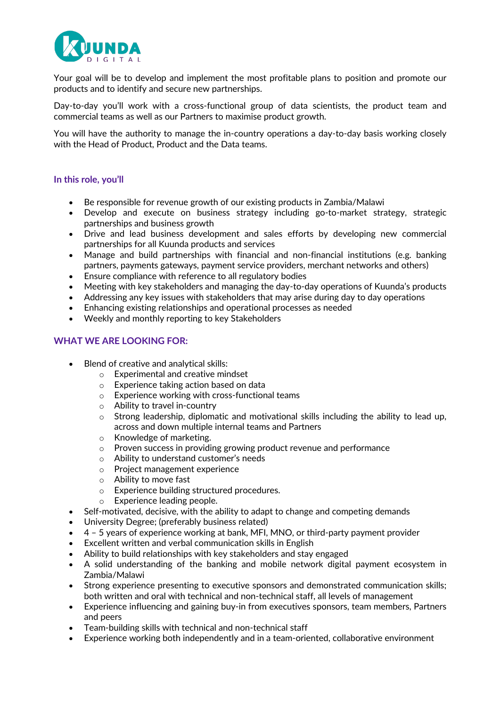

Your goal will be to develop and implement the most profitable plans to position and promote our products and to identify and secure new partnerships.

Day-to-day you'll work with a cross-functional group of data scientists, the product team and commercial teams as well as our Partners to maximise product growth.

You will have the authority to manage the in-country operations a day-to-day basis working closely with the Head of Product, Product and the Data teams.

#### **In this role, you'll**

- Be responsible for revenue growth of our existing products in Zambia/Malawi
- Develop and execute on business strategy including go-to-market strategy, strategic partnerships and business growth
- Drive and lead business development and sales efforts by developing new commercial partnerships for all Kuunda products and services
- Manage and build partnerships with financial and non-financial institutions (e.g. banking partners, payments gateways, payment service providers, merchant networks and others)
- Ensure compliance with reference to all regulatory bodies
- Meeting with key stakeholders and managing the day-to-day operations of Kuunda's products
- Addressing any key issues with stakeholders that may arise during day to day operations
- Enhancing existing relationships and operational processes as needed
- Weekly and monthly reporting to key Stakeholders

#### **WHAT WE ARE LOOKING FOR:**

- Blend of creative and analytical skills:
	- o Experimental and creative mindset
	- o Experience taking action based on data
	- o Experience working with cross-functional teams
	- o Ability to travel in-country
	- $\circ$  Strong leadership, diplomatic and motivational skills including the ability to lead up, across and down multiple internal teams and Partners
	- o Knowledge of marketing.
	- o Proven success in providing growing product revenue and performance
	- o Ability to understand customer's needs
	- o Project management experience
	- o Ability to move fast
	- o Experience building structured procedures.
	- o Experience leading people.
- Self-motivated, decisive, with the ability to adapt to change and competing demands
- University Degree; (preferably business related)
- 4 5 years of experience working at bank, MFI, MNO, or third-party payment provider
- Excellent written and verbal communication skills in English
- Ability to build relationships with key stakeholders and stay engaged
- A solid understanding of the banking and mobile network digital payment ecosystem in Zambia/Malawi
- Strong experience presenting to executive sponsors and demonstrated communication skills; both written and oral with technical and non-technical staff, all levels of management
- Experience influencing and gaining buy-in from executives sponsors, team members, Partners and peers
- Team-building skills with technical and non-technical staff
- Experience working both independently and in a team-oriented, collaborative environment